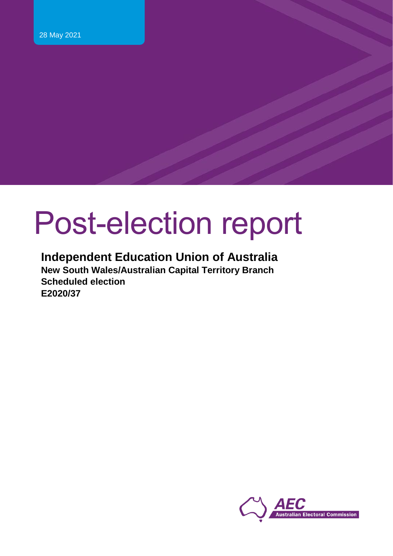# Post-election report

#### **Independent Education Union of Australia New South Wales/Australian Capital Territory Branch**

**Scheduled election E2020/37**

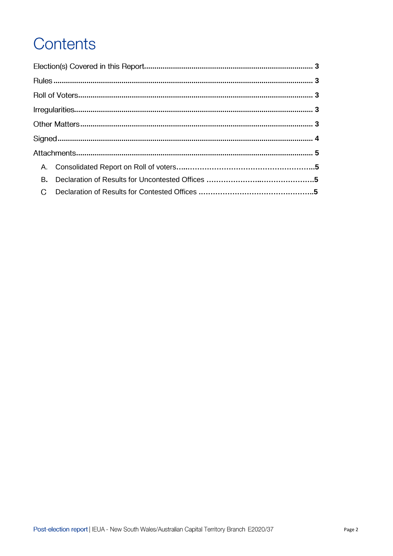## Contents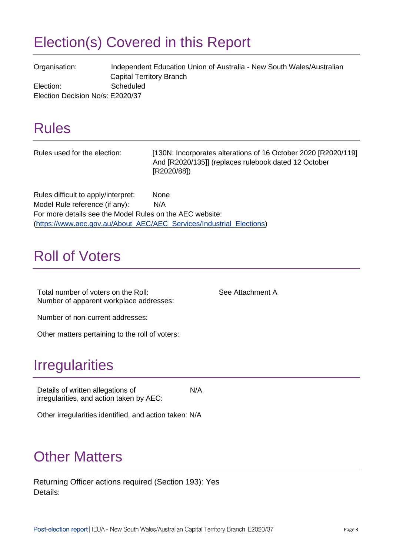### <span id="page-2-0"></span>Election(s) Covered in this Report

Organisation: Independent Education Union of Australia - New South Wales/Australian Capital Territory Branch Election: Scheduled Election Decision No/s: E2020/37

#### <span id="page-2-1"></span>Rules

| Rules used for the election:                             | [130N: Incorporates alterations of 16 October 2020 [R2020/119]<br>And [R2020/135]] (replaces rulebook dated 12 October<br>[R2020/88]) |
|----------------------------------------------------------|---------------------------------------------------------------------------------------------------------------------------------------|
| Rules difficult to apply/interpret:                      | <b>None</b>                                                                                                                           |
| Model Rule reference (if any):                           | N/A                                                                                                                                   |
| For more details see the Model Rules on the AEC website: |                                                                                                                                       |
|                                                          | (https://www.aec.gov.au/About_AEC/AEC_Services/Industrial_Elections)                                                                  |

#### <span id="page-2-2"></span>Roll of Voters

Total number of voters on the Roll: See Attachment A Number of apparent workplace addresses:

Number of non-current addresses:

<span id="page-2-3"></span>Other matters pertaining to the roll of voters:

#### Irregularities

Details of written allegations of irregularities, and action taken by AEC: N/A

Other irregularities identified, and action taken: N/A

#### <span id="page-2-4"></span>**Other Matters**

Returning Officer actions required (Section 193): Yes Details: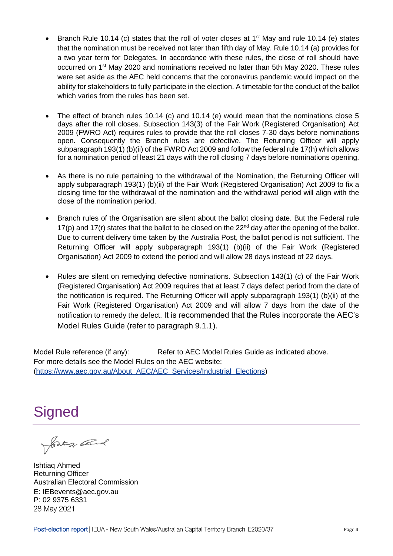- Branch Rule 10.14 (c) states that the roll of voter closes at 1<sup>st</sup> May and rule 10.14 (e) states that the nomination must be received not later than fifth day of May. Rule 10.14 (a) provides for a two year term for Delegates. In accordance with these rules, the close of roll should have occurred on 1st May 2020 and nominations received no later than 5th May 2020. These rules were set aside as the AEC held concerns that the coronavirus pandemic would impact on the ability for stakeholders to fully participate in the election. A timetable for the conduct of the ballot which varies from the rules has been set.
- The effect of branch rules 10.14 (c) and 10.14 (e) would mean that the nominations close 5 days after the roll closes. Subsection 143(3) of the Fair Work (Registered Organisation) Act 2009 (FWRO Act) requires rules to provide that the roll closes 7-30 days before nominations open. Consequently the Branch rules are defective. The Returning Officer will apply subparagraph 193(1) (b)(ii) of the FWRO Act 2009 and follow the federal rule 17(h) which allows for a nomination period of least 21 days with the roll closing 7 days before nominations opening.
- As there is no rule pertaining to the withdrawal of the Nomination, the Returning Officer will apply subparagraph 193(1) (b)(ii) of the Fair Work (Registered Organisation) Act 2009 to fix a closing time for the withdrawal of the nomination and the withdrawal period will align with the close of the nomination period.
- Branch rules of the Organisation are silent about the ballot closing date. But the Federal rule 17(p) and 17(r) states that the ballot to be closed on the  $22<sup>nd</sup>$  day after the opening of the ballot. Due to current delivery time taken by the Australia Post, the ballot period is not sufficient. The Returning Officer will apply subparagraph 193(1) (b)(ii) of the Fair Work (Registered Organisation) Act 2009 to extend the period and will allow 28 days instead of 22 days.
- Rules are silent on remedying defective nominations. Subsection 143(1) (c) of the Fair Work (Registered Organisation) Act 2009 requires that at least 7 days defect period from the date of the notification is required. The Returning Officer will apply subparagraph 193(1) (b)(ii) of the Fair Work (Registered Organisation) Act 2009 and will allow 7 days from the date of the notification to remedy the defect. It is recommended that the Rules incorporate the AEC's Model Rules Guide (refer to paragraph 9.1.1).

Model Rule reference (if any): Refer to AEC Model Rules Guide as indicated above. For more details see the Model Rules on the AEC website: [\(https://www.aec.gov.au/About\\_AEC/AEC\\_Services/Industrial\\_Elections\)](https://www.aec.gov.au/About_AEC/AEC_Services/Industrial_Elections)

<span id="page-3-0"></span>Signed<br>Josten Cand

Ishtiaq Ahmed Returning Officer Australian Electoral Commission E: IEBevents@aec.gov.au P: 02 9375 633128 May 2021